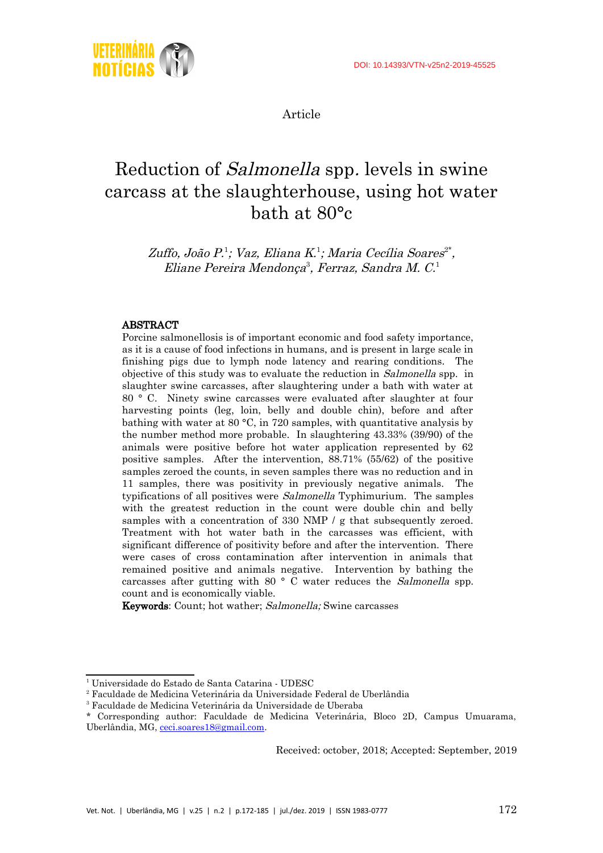

Article

# Reduction of Salmonella spp. levels in swine carcass at the slaughterhouse, using hot water bath at 80°c

Zuffo, João P.<sup>[1](#page-0-0)</sup>; Vaz, Eliana K.<sup>1</sup>; Maria Cecília Soares<sup>[2\\*](#page-0-1)</sup>, Eliane Pereira Mendonça<sup>[3](#page-0-2)</sup>, Ferraz, Sandra M. C.<sup>1</sup>

#### ABSTRACT

Porcine salmonellosis is of important economic and food safety importance, as it is a cause of food infections in humans, and is present in large scale in finishing pigs due to lymph node latency and rearing conditions. The objective of this study was to evaluate the reduction in Salmonella spp. in slaughter swine carcasses, after slaughtering under a bath with water at 80 ° C. Ninety swine carcasses were evaluated after slaughter at four harvesting points (leg, loin, belly and double chin), before and after bathing with water at 80 °C, in 720 samples, with quantitative analysis by the number method more probable. In slaughtering 43.33% (39/90) of the animals were positive before hot water application represented by 62 positive samples. After the intervention, 88.71% (55/62) of the positive samples zeroed the counts, in seven samples there was no reduction and in 11 samples, there was positivity in previously negative animals. The typifications of all positives were Salmonella Typhimurium. The samples with the greatest reduction in the count were double chin and belly samples with a concentration of 330 NMP / g that subsequently zeroed. Treatment with hot water bath in the carcasses was efficient, with significant difference of positivity before and after the intervention. There were cases of cross contamination after intervention in animals that remained positive and animals negative. Intervention by bathing the carcasses after gutting with 80 ° C water reduces the Salmonella spp. count and is economically viable.

Keywords: Count; hot wather; Salmonella; Swine carcasses

Received: october, 2018; Accepted: September, 2019

<span id="page-0-0"></span><sup>1</sup> Universidade do Estado de Santa Catarina - UDESC

<span id="page-0-1"></span> $^{\rm 2}$  Faculdade de Medicina Veterinária da Universidade Federal de Uberlândia

<span id="page-0-2"></span><sup>3</sup> Faculdade de Medicina Veterinária da Universidade de Uberaba

<sup>\*</sup> Corresponding author: Faculdade de Medicina Veterinária, Bloco 2D, Campus Umuarama, Uberlândia, MG, [ceci.soares18@gmail.com](mailto:ceci.soares18@gmail.com).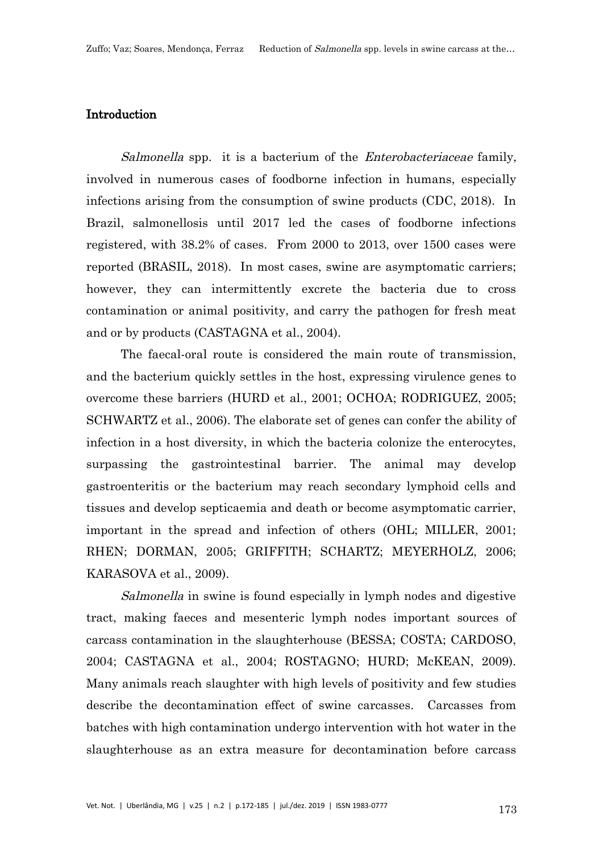#### Introduction

Salmonella spp. it is a bacterium of the Enterobacteriaceae family, involved in numerous cases of foodborne infection in humans, especially infections arising from the consumption of swine products (CDC, 2018). In Brazil, salmonellosis until 2017 led the cases of foodborne infections registered, with 38.2% of cases. From 2000 to 2013, over 1500 cases were reported (BRASIL, 2018). In most cases, swine are asymptomatic carriers; however, they can intermittently excrete the bacteria due to cross contamination or animal positivity, and carry the pathogen for fresh meat and or by products (CASTAGNA et al., 2004).

The faecal-oral route is considered the main route of transmission, and the bacterium quickly settles in the host, expressing virulence genes to overcome these barriers (HURD et al., 2001; OCHOA; RODRIGUEZ, 2005; SCHWARTZ et al., 2006). The elaborate set of genes can confer the ability of infection in a host diversity, in which the bacteria colonize the enterocytes, surpassing the gastrointestinal barrier. The animal may develop gastroenteritis or the bacterium may reach secondary lymphoid cells and tissues and develop septicaemia and death or become asymptomatic carrier, important in the spread and infection of others (OHL; MILLER, 2001; RHEN; DORMAN, 2005; GRIFFITH; SCHARTZ; MEYERHOLZ, 2006; KARASOVA et al., 2009).

Salmonella in swine is found especially in lymph nodes and digestive tract, making faeces and mesenteric lymph nodes important sources of carcass contamination in the slaughterhouse (BESSA; COSTA; CARDOSO, 2004; CASTAGNA et al., 2004; ROSTAGNO; HURD; McKEAN, 2009). Many animals reach slaughter with high levels of positivity and few studies describe the decontamination effect of swine carcasses. Carcasses from batches with high contamination undergo intervention with hot water in the slaughterhouse as an extra measure for decontamination before carcass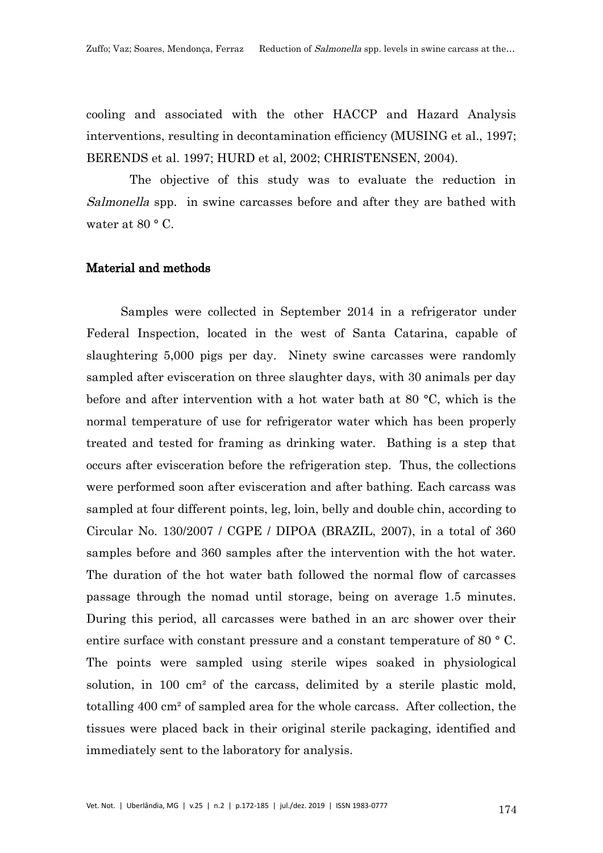cooling and associated with the other HACCP and Hazard Analysis interventions, resulting in decontamination efficiency (MUSING et al., 1997; BERENDS et al. 1997; HURD et al, 2002; CHRISTENSEN, 2004).

 The objective of this study was to evaluate the reduction in Salmonella spp. in swine carcasses before and after they are bathed with water at  $80 °C$ .

#### Material and methods

Samples were collected in September 2014 in a refrigerator under Federal Inspection, located in the west of Santa Catarina, capable of slaughtering 5,000 pigs per day. Ninety swine carcasses were randomly sampled after evisceration on three slaughter days, with 30 animals per day before and after intervention with a hot water bath at 80 °C, which is the normal temperature of use for refrigerator water which has been properly treated and tested for framing as drinking water. Bathing is a step that occurs after evisceration before the refrigeration step. Thus, the collections were performed soon after evisceration and after bathing. Each carcass was sampled at four different points, leg, loin, belly and double chin, according to Circular No. 130/2007 / CGPE / DIPOA (BRAZIL, 2007), in a total of 360 samples before and 360 samples after the intervention with the hot water. The duration of the hot water bath followed the normal flow of carcasses passage through the nomad until storage, being on average 1.5 minutes. During this period, all carcasses were bathed in an arc shower over their entire surface with constant pressure and a constant temperature of 80 ° C. The points were sampled using sterile wipes soaked in physiological solution, in 100 cm² of the carcass, delimited by a sterile plastic mold, totalling 400 cm² of sampled area for the whole carcass. After collection, the tissues were placed back in their original sterile packaging, identified and immediately sent to the laboratory for analysis.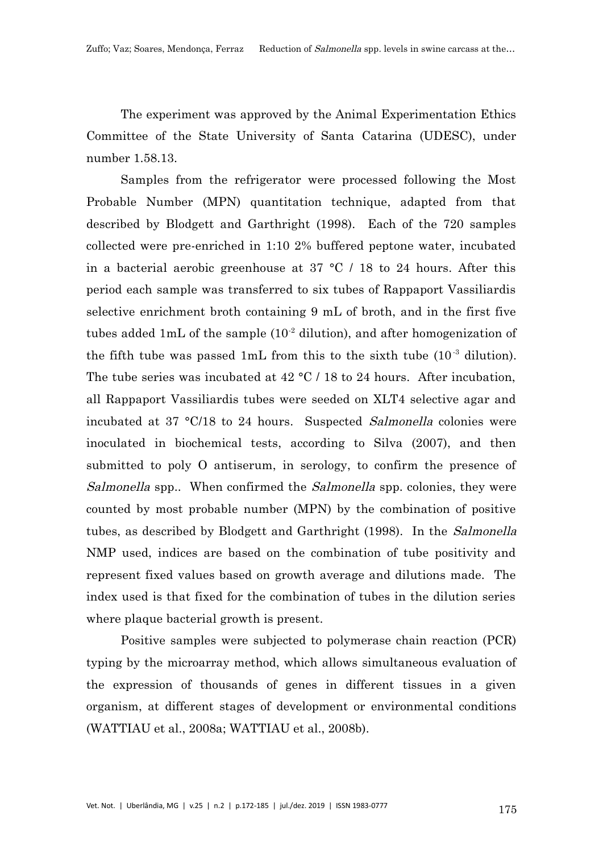The experiment was approved by the Animal Experimentation Ethics Committee of the State University of Santa Catarina (UDESC), under number 1.58.13.

Samples from the refrigerator were processed following the Most Probable Number (MPN) quantitation technique, adapted from that described by Blodgett and Garthright (1998). Each of the 720 samples collected were pre-enriched in 1:10 2% buffered peptone water, incubated in a bacterial aerobic greenhouse at 37 °C / 18 to 24 hours. After this period each sample was transferred to six tubes of Rappaport Vassiliardis selective enrichment broth containing 9 mL of broth, and in the first five tubes added 1mL of the sample  $(10^{-2}$  dilution), and after homogenization of the fifth tube was passed 1mL from this to the sixth tube  $(10^{-3}$  dilution). The tube series was incubated at 42 °C / 18 to 24 hours. After incubation, all Rappaport Vassiliardis tubes were seeded on XLT4 selective agar and incubated at 37 °C/18 to 24 hours. Suspected Salmonella colonies were inoculated in biochemical tests, according to Silva (2007), and then submitted to poly O antiserum, in serology, to confirm the presence of Salmonella spp.. When confirmed the Salmonella spp. colonies, they were counted by most probable number (MPN) by the combination of positive tubes, as described by Blodgett and Garthright (1998). In the *Salmonella* NMP used, indices are based on the combination of tube positivity and represent fixed values based on growth average and dilutions made. The index used is that fixed for the combination of tubes in the dilution series where plaque bacterial growth is present.

Positive samples were subjected to polymerase chain reaction (PCR) typing by the microarray method, which allows simultaneous evaluation of the expression of thousands of genes in different tissues in a given organism, at different stages of development or environmental conditions (WATTIAU et al., 2008a; WATTIAU et al., 2008b).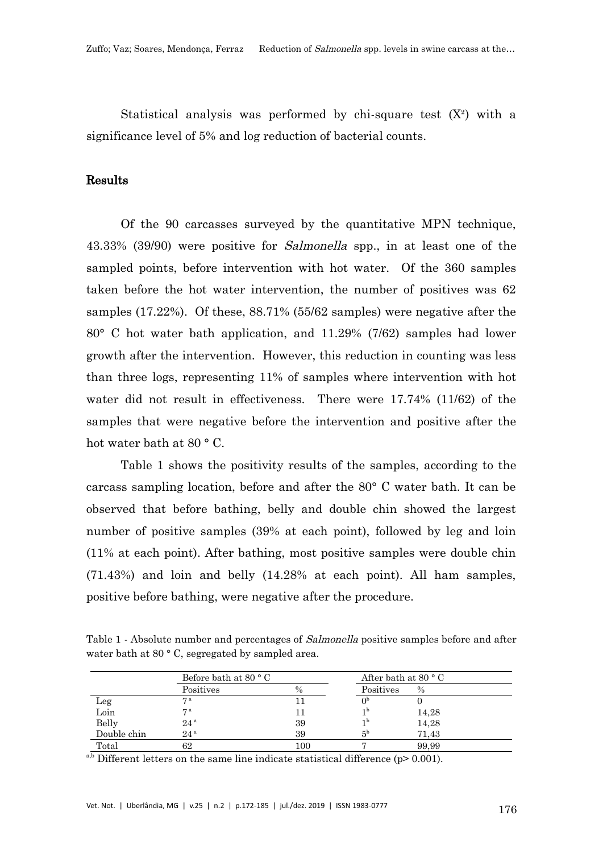Statistical analysis was performed by chi-square test  $(X^2)$  with a significance level of 5% and log reduction of bacterial counts.

## Results

Of the 90 carcasses surveyed by the quantitative MPN technique, 43.33% (39/90) were positive for Salmonella spp., in at least one of the sampled points, before intervention with hot water. Of the 360 samples taken before the hot water intervention, the number of positives was 62 samples (17.22%). Of these, 88.71% (55/62 samples) were negative after the 80° C hot water bath application, and 11.29% (7/62) samples had lower growth after the intervention. However, this reduction in counting was less than three logs, representing 11% of samples where intervention with hot water did not result in effectiveness. There were 17.74% (11/62) of the samples that were negative before the intervention and positive after the hot water bath at 80 ° C.

Table 1 shows the positivity results of the samples, according to the carcass sampling location, before and after the 80° C water bath. It can be observed that before bathing, belly and double chin showed the largest number of positive samples (39% at each point), followed by leg and loin (11% at each point). After bathing, most positive samples were double chin (71.43%) and loin and belly (14.28% at each point). All ham samples, positive before bathing, were negative after the procedure.

Table 1 - Absolute number and percentages of *Salmonella* positive samples before and after water bath at 80 °C, segregated by sampled area.

|             | Before bath at $80 °C$ |      | After bath at $80 °C$ |       |  |
|-------------|------------------------|------|-----------------------|-------|--|
|             | Positives              | $\%$ | Positives             | $\%$  |  |
| Leg         | $\mathbf{\tau}$ a      |      |                       |       |  |
| Loin        | 7 a                    |      | 1b                    | 14,28 |  |
| Belly       | 24 <sup>a</sup>        | 39   | 1b                    | 14,28 |  |
| Double chin | 24 <sup>a</sup>        | 39   | 5 <sup>b</sup>        | 71.43 |  |
| Total       | 62                     | 100  |                       | 99,99 |  |

 $a,b$  Different letters on the same line indicate statistical difference (p> 0.001).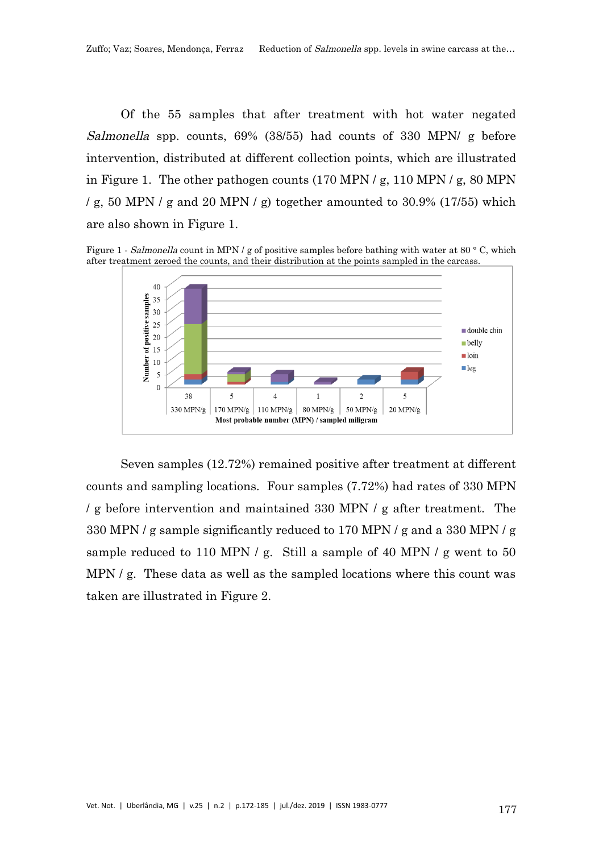Of the 55 samples that after treatment with hot water negated Salmonella spp. counts, 69% (38/55) had counts of 330 MPN/ g before intervention, distributed at different collection points, which are illustrated in Figure 1. The other pathogen counts (170 MPN / g, 110 MPN / g, 80 MPN / g, 50 MPN / g and 20 MPN / g) together amounted to  $30.9\%$  (17/55) which are also shown in Figure 1.

Figure 1 - Salmonella count in MPN / g of positive samples before bathing with water at 80 °C, which after treatment zeroed the counts, and their distribution at the points sampled in the carcass.



Seven samples (12.72%) remained positive after treatment at different counts and sampling locations. Four samples (7.72%) had rates of 330 MPN / g before intervention and maintained 330 MPN / g after treatment. The 330 MPN / g sample significantly reduced to 170 MPN / g and a 330 MPN / g sample reduced to 110 MPN / g. Still a sample of 40 MPN / g went to 50 MPN / g. These data as well as the sampled locations where this count was taken are illustrated in Figure 2.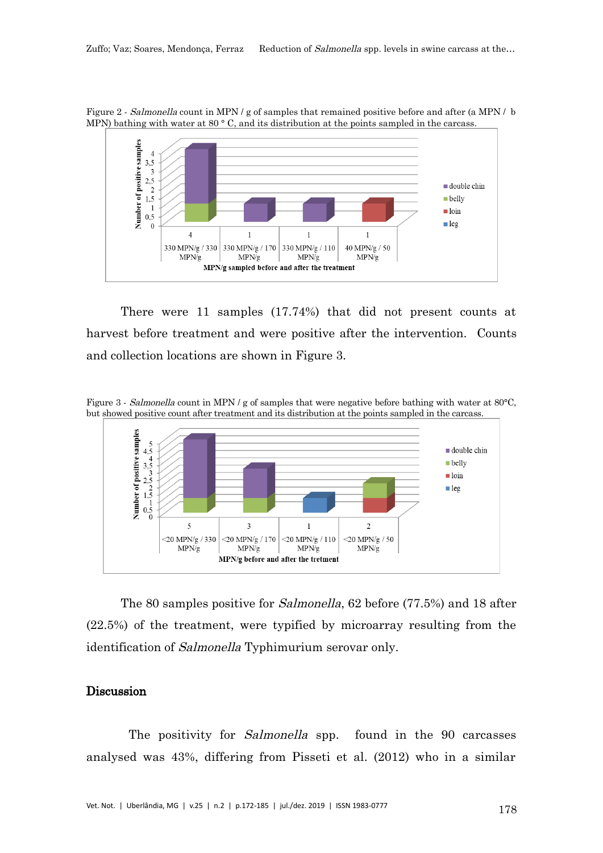Figure 2 - Salmonella count in MPN / g of samples that remained positive before and after (a MPN / b MPN) bathing with water at 80  $^{\circ}$  C, and its distribution at the points sampled in the carcass.



There were 11 samples (17.74%) that did not present counts at harvest before treatment and were positive after the intervention. Counts and collection locations are shown in Figure 3.

Figure 3 - Salmonella count in MPN / g of samples that were negative before bathing with water at 80°C, but showed positive count after treatment and its distribution at the points sampled in the carcass.



The 80 samples positive for Salmonella, 62 before (77.5%) and 18 after (22.5%) of the treatment, were typified by microarray resulting from the identification of Salmonella Typhimurium serovar only.

#### Discussion

The positivity for *Salmonella* spp. found in the 90 carcasses analysed was 43%, differing from Pisseti et al. (2012) who in a similar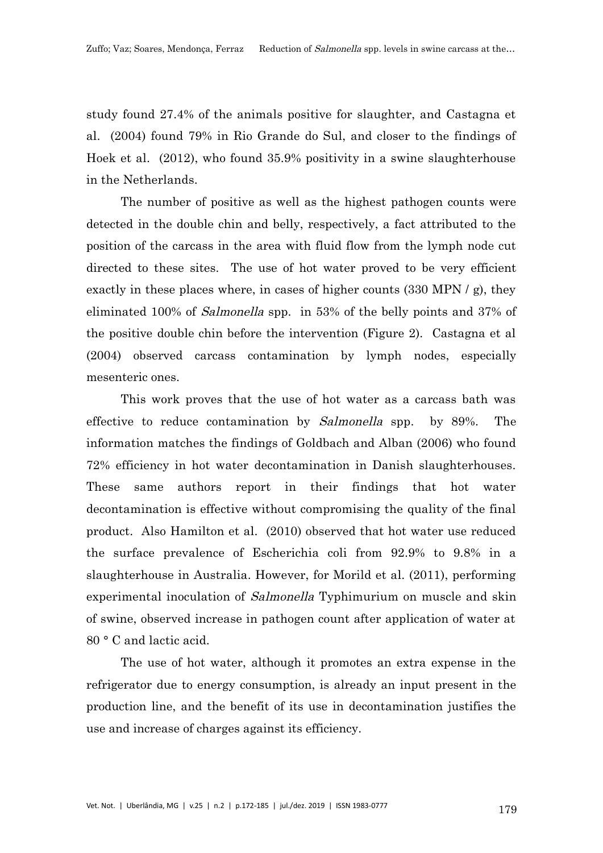study found 27.4% of the animals positive for slaughter, and Castagna et al. (2004) found 79% in Rio Grande do Sul, and closer to the findings of Hoek et al. (2012), who found 35.9% positivity in a swine slaughterhouse in the Netherlands.

The number of positive as well as the highest pathogen counts were detected in the double chin and belly, respectively, a fact attributed to the position of the carcass in the area with fluid flow from the lymph node cut directed to these sites. The use of hot water proved to be very efficient exactly in these places where, in cases of higher counts (330 MPN / g), they eliminated 100% of Salmonella spp. in 53% of the belly points and 37% of the positive double chin before the intervention (Figure 2). Castagna et al (2004) observed carcass contamination by lymph nodes, especially mesenteric ones.

This work proves that the use of hot water as a carcass bath was effective to reduce contamination by Salmonella spp. by 89%. The information matches the findings of Goldbach and Alban (2006) who found 72% efficiency in hot water decontamination in Danish slaughterhouses. These same authors report in their findings that hot water decontamination is effective without compromising the quality of the final product. Also Hamilton et al. (2010) observed that hot water use reduced the surface prevalence of Escherichia coli from 92.9% to 9.8% in a slaughterhouse in Australia. However, for Morild et al. (2011), performing experimental inoculation of *Salmonella* Typhimurium on muscle and skin of swine, observed increase in pathogen count after application of water at 80 ° C and lactic acid.

The use of hot water, although it promotes an extra expense in the refrigerator due to energy consumption, is already an input present in the production line, and the benefit of its use in decontamination justifies the use and increase of charges against its efficiency.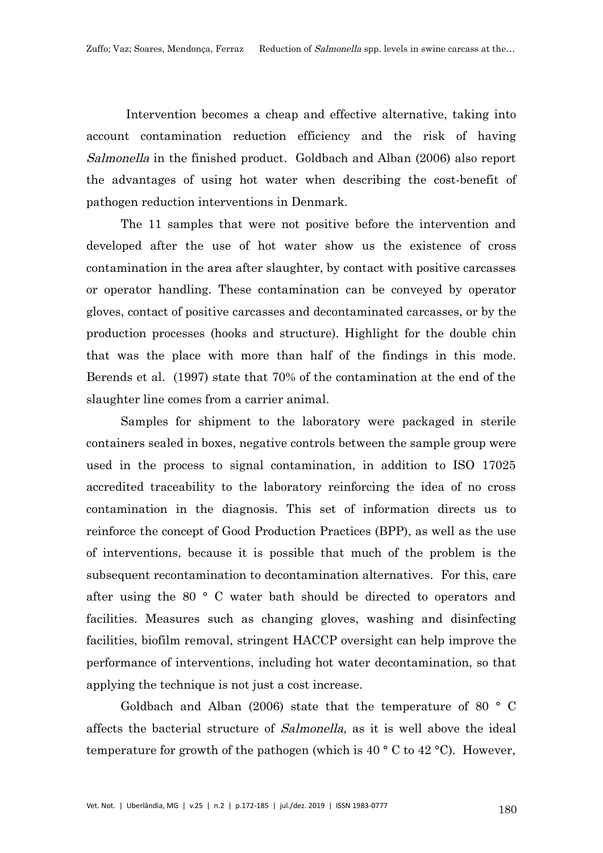Intervention becomes a cheap and effective alternative, taking into account contamination reduction efficiency and the risk of having Salmonella in the finished product. Goldbach and Alban (2006) also report the advantages of using hot water when describing the cost-benefit of pathogen reduction interventions in Denmark.

The 11 samples that were not positive before the intervention and developed after the use of hot water show us the existence of cross contamination in the area after slaughter, by contact with positive carcasses or operator handling. These contamination can be conveyed by operator gloves, contact of positive carcasses and decontaminated carcasses, or by the production processes (hooks and structure). Highlight for the double chin that was the place with more than half of the findings in this mode. Berends et al. (1997) state that 70% of the contamination at the end of the slaughter line comes from a carrier animal.

Samples for shipment to the laboratory were packaged in sterile containers sealed in boxes, negative controls between the sample group were used in the process to signal contamination, in addition to ISO 17025 accredited traceability to the laboratory reinforcing the idea of no cross contamination in the diagnosis. This set of information directs us to reinforce the concept of Good Production Practices (BPP), as well as the use of interventions, because it is possible that much of the problem is the subsequent recontamination to decontamination alternatives. For this, care after using the 80 ° C water bath should be directed to operators and facilities. Measures such as changing gloves, washing and disinfecting facilities, biofilm removal, stringent HACCP oversight can help improve the performance of interventions, including hot water decontamination, so that applying the technique is not just a cost increase.

Goldbach and Alban (2006) state that the temperature of 80 ° C affects the bacterial structure of Salmonella, as it is well above the ideal temperature for growth of the pathogen (which is  $40^{\circ}$  C to  $42^{\circ}$ C). However,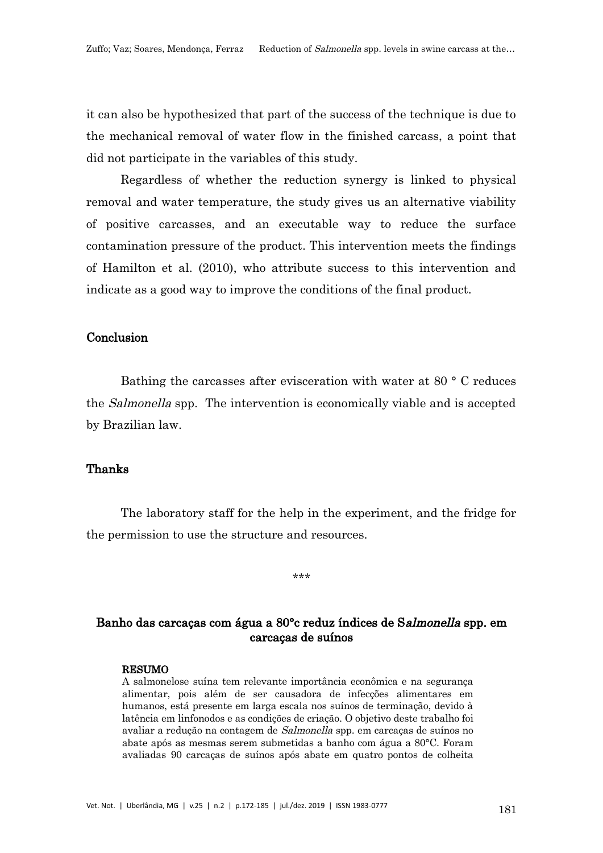it can also be hypothesized that part of the success of the technique is due to the mechanical removal of water flow in the finished carcass, a point that did not participate in the variables of this study.

Regardless of whether the reduction synergy is linked to physical removal and water temperature, the study gives us an alternative viability of positive carcasses, and an executable way to reduce the surface contamination pressure of the product. This intervention meets the findings of Hamilton et al. (2010), who attribute success to this intervention and indicate as a good way to improve the conditions of the final product.

#### Conclusion

Bathing the carcasses after evisceration with water at 80 ° C reduces the *Salmonella* spp. The intervention is economically viable and is accepted by Brazilian law.

#### Thanks

The laboratory staff for the help in the experiment, and the fridge for the permission to use the structure and resources.

**ياه ماه ماه** 

## Banho das carcaças com água a 80°c reduz índices de Salmonella spp. em carcaças de suínos

#### RESUMO

A salmonelose suína tem relevante importância econômica e na segurança alimentar, pois além de ser causadora de infecções alimentares em humanos, está presente em larga escala nos suínos de terminação, devido à latência em linfonodos e as condições de criação. O objetivo deste trabalho foi avaliar a redução na contagem de Salmonella spp. em carcaças de suínos no abate após as mesmas serem submetidas a banho com água a 80°C. Foram avaliadas 90 carcaças de suínos após abate em quatro pontos de colheita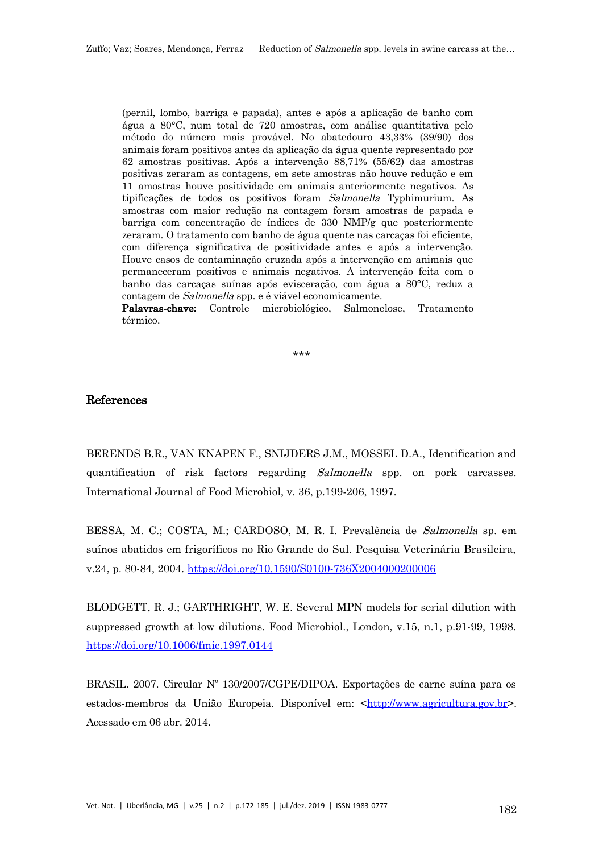(pernil, lombo, barriga e papada), antes e após a aplicação de banho com água a 80°C, num total de 720 amostras, com análise quantitativa pelo método do número mais provável. No abatedouro 43,33% (39/90) dos animais foram positivos antes da aplicação da água quente representado por 62 amostras positivas. Após a intervenção 88,71% (55/62) das amostras positivas zeraram as contagens, em sete amostras não houve redução e em 11 amostras houve positividade em animais anteriormente negativos. As tipificações de todos os positivos foram Salmonella Typhimurium. As amostras com maior redução na contagem foram amostras de papada e barriga com concentração de índices de 330 NMP/g que posteriormente zeraram. O tratamento com banho de água quente nas carcaças foi eficiente, com diferença significativa de positividade antes e após a intervenção. Houve casos de contaminação cruzada após a intervenção em animais que permaneceram positivos e animais negativos. A intervenção feita com o banho das carcaças suínas após evisceração, com água a 80°C, reduz a contagem de Salmonella spp. e é viável economicamente.

Palavras-chave: Controle microbiológico, Salmonelose, Tratamento térmico.

\*\*\*

## References

BERENDS B.R., VAN KNAPEN F., SNIJDERS J.M., MOSSEL D.A., Identification and quantification of risk factors regarding Salmonella spp. on pork carcasses. International Journal of Food Microbiol, v. 36, p.199-206, 1997.

BESSA, M. C.; COSTA, M.; CARDOSO, M. R. I. Prevalência de Salmonella sp. em suínos abatidos em frigoríficos no Rio Grande do Sul. Pesquisa Veterinária Brasileira, v.24, p. 80-84, 2004. <https://doi.org/10.1590/S0100-736X2004000200006>

BLODGETT, R. J.; GARTHRIGHT, W. E. Several MPN models for serial dilution with suppressed growth at low dilutions. Food Microbiol., London, v.15, n.1, p.91-99, 1998. <https://doi.org/10.1006/fmic.1997.0144>

BRASIL. 2007. Circular Nº 130/2007/CGPE/DIPOA. Exportações de carne suína para os estados-membros da União Europeia. Disponível em: [<http://www.agricultura.gov.br](http://www.agricultura.gov.br/)>. Acessado em 06 abr. 2014.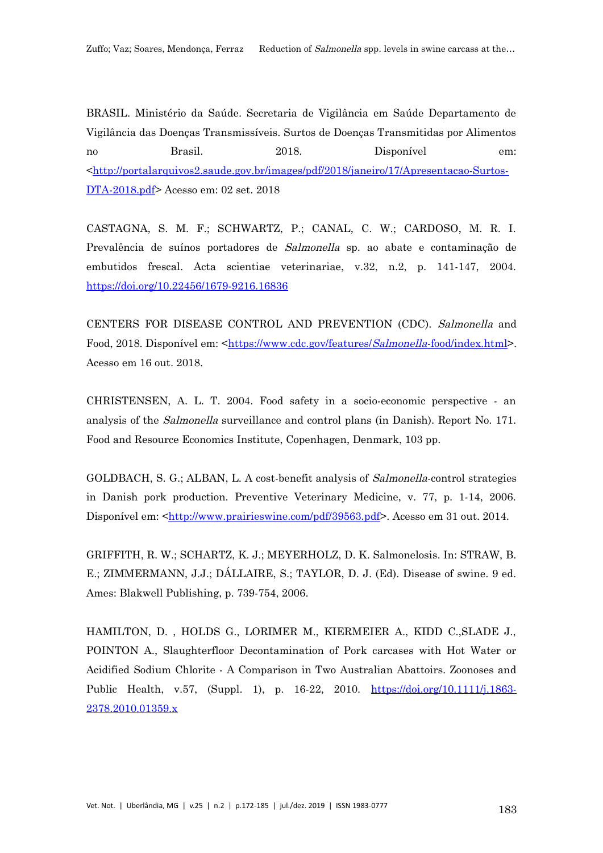BRASIL. Ministério da Saúde. Secretaria de Vigilância em Saúde Departamento de Vigilância das Doenças Transmissíveis. Surtos de Doenças Transmitidas por Alimentos no Brasil. 2018. Disponível em: [<http://portalarquivos2.saude.gov.br/images/pdf/2018/janeiro/17/Apresentacao-Surtos-](http://portalarquivos2.saude.gov.br/images/pdf/2018/janeiro/17/Apresentacao-Surtos-DTA-2018.pdf)[DTA-2018.pdf](http://portalarquivos2.saude.gov.br/images/pdf/2018/janeiro/17/Apresentacao-Surtos-DTA-2018.pdf)> Acesso em: 02 set. 2018

CASTAGNA, S. M. F.; SCHWARTZ, P.; CANAL, C. W.; CARDOSO, M. R. I. Prevalência de suínos portadores de Salmonella sp. ao abate e contaminação de embutidos frescal. Acta scientiae veterinariae, v.32, n.2, p. 141-147, 2004. <https://doi.org/10.22456/1679-9216.16836>

CENTERS FOR DISEASE CONTROL AND PREVENTION (CDC). Salmonella and Food, 2018. Disponível em: <https://www.cdc.gov/features/[Salmonella](https://www.cdc.gov/features/Salmonella-food/index.html)-food/index.html>. Acesso em 16 out. 2018.

CHRISTENSEN, A. L. T. 2004. Food safety in a socio-economic perspective - an analysis of the Salmonella surveillance and control plans (in Danish). Report No. 171. Food and Resource Economics Institute, Copenhagen, Denmark, 103 pp.

GOLDBACH, S. G.; ALBAN, L. A cost-benefit analysis of Salmonella-control strategies in Danish pork production. Preventive Veterinary Medicine, v. 77, p. 1-14, 2006. Disponível em: [<http://www.prairieswine.com/pdf/39563.pdf](http://www.prairieswine.com/pdf/39563.pdf)>. Acesso em 31 out. 2014.

GRIFFITH, R. W.; SCHARTZ, K. J.; MEYERHOLZ, D. K. Salmonelosis. In: STRAW, B. E.; ZIMMERMANN, J.J.; DÁLLAIRE, S.; TAYLOR, D. J. (Ed). Disease of swine. 9 ed. Ames: Blakwell Publishing, p. 739-754, 2006.

HAMILTON, D. , HOLDS G., LORIMER M., KIERMEIER A., KIDD C.,SLADE J., POINTON A., Slaughterfloor Decontamination of Pork carcases with Hot Water or Acidified Sodium Chlorite - A Comparison in Two Australian Abattoirs. Zoonoses and Public Health, v.57, (Suppl. 1), p. 16-22, 2010. [https://doi.org/10.1111/j.1863-](https://doi.org/10.1111/j.1863-2378.2010.01359.x) [2378.2010.01359.x](https://doi.org/10.1111/j.1863-2378.2010.01359.x)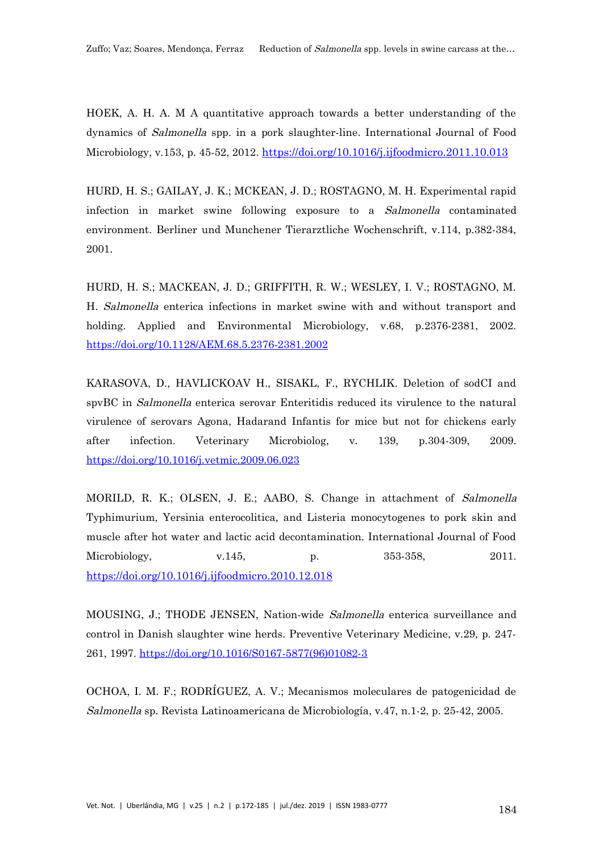HOEK, A. H. A. M A quantitative approach towards a better understanding of the dynamics of Salmonella spp. in a pork slaughter-line. International Journal of Food Microbiology, v.153, p. 45-52, 2012. <https://doi.org/10.1016/j.ijfoodmicro.2011.10.013>

HURD, H. S.; GAILAY, J. K.; MCKEAN, J. D.; ROSTAGNO, M. H. Experimental rapid infection in market swine following exposure to a Salmonella contaminated environment. Berliner und Munchener Tierarztliche Wochenschrift, v.114, p.382-384, 2001.

HURD, H. S.; MACKEAN, J. D.; GRIFFITH, R. W.; WESLEY, I. V.; ROSTAGNO, M. H. Salmonella enterica infections in market swine with and without transport and holding. Applied and Environmental Microbiology, v.68, p.2376-2381, 2002. <https://doi.org/10.1128/AEM.68.5.2376-2381.2002>

KARASOVA, D., HAVLICKOAV H., SISAKL, F., RYCHLIK. Deletion of sodCI and spvBC in *Salmonella* enterica serovar Enteritidis reduced its virulence to the natural virulence of serovars Agona, Hadarand Infantis for mice but not for chickens early after infection. Veterinary Microbiolog, v. 139, p.304-309, 2009. <https://doi.org/10.1016/j.vetmic.2009.06.023>

MORILD, R. K.; OLSEN, J. E.; AABO, S. Change in attachment of Salmonella Typhimurium, Yersinia enterocolitica, and Listeria monocytogenes to pork skin and muscle after hot water and lactic acid decontamination. International Journal of Food Microbiology,  $v.145$ , p.  $353-358$ , 2011. <https://doi.org/10.1016/j.ijfoodmicro.2010.12.018>

MOUSING, J.; THODE JENSEN, Nation-wide Salmonella enterica surveillance and control in Danish slaughter wine herds. Preventive Veterinary Medicine, v.29, p. 247- 261, 1997. [https://doi.org/10.1016/S0167-5877\(96\)01082-3](https://doi.org/10.1016/S0167-5877(96)01082-3)

OCHOA, I. M. F.; RODRÍGUEZ, A. V.; Mecanismos moleculares de patogenicidad de Salmonella sp. Revista Latinoamericana de Microbiología, v.47, n.1-2, p. 25-42, 2005.